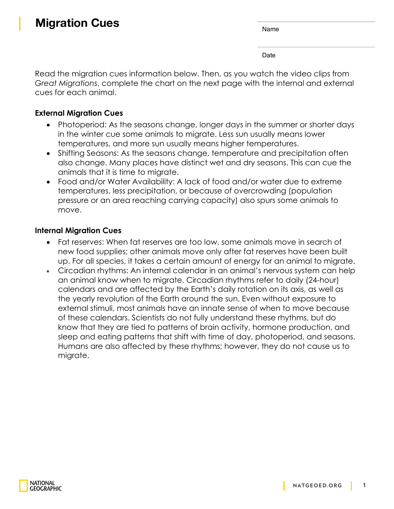Date

Read the migration cues information below. Then, as you watch the video clips from *Great Migrations*, complete the chart on the next page with the internal and external cues for each animal.

## **External Migration Cues**

- Photoperiod: As the seasons change, longer days in the summer or shorter days in the winter cue some animals to migrate. Less sun usually means lower temperatures, and more sun usually means higher temperatures.
- Shifting Seasons: As the seasons change, temperature and precipitation often also change. Many places have distinct wet and dry seasons. This can cue the animals that it is time to migrate.
- Food and/or Water Availability: A lack of food and/or water due to extreme temperatures, less precipitation, or because of overcrowding (population pressure or an area reaching carrying capacity) also spurs some animals to move.

## **Internal Migration Cues**

- Fat reserves: When fat reserves are too low, some animals move in search of new food supplies; other animals move only after fat reserves have been built up. For all species, it takes a certain amount of energy for an animal to migrate.
- Circadian rhythms: An internal calendar in an animal's nervous system can help an animal know when to migrate. Circadian rhythms refer to daily (24-hour) calendars and are affected by the Earth's daily rotation on its axis, as well as the yearly revolution of the Earth around the sun. Even without exposure to external stimuli, most animals have an innate sense of when to move because of these calendars. Scientists do not fully understand these rhythms, but do know that they are tied to patterns of brain activity, hormone production, and sleep and eating patterns that shift with time of day, photoperiod, and seasons. Humans are also affected by these rhythms; however, they do not cause us to migrate.